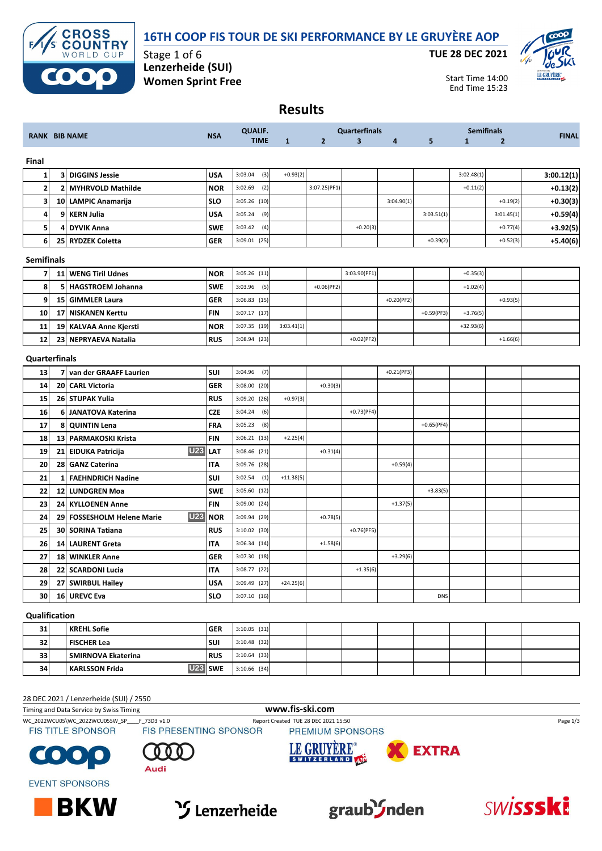### **16TH COOP FIS TOUR DE SKI PERFORMANCE BY LE GRUYÈRE AOP**



Stage 1 of 6 **Lenzerheide (SUI) Women Sprint Free** **TUE 28 DEC 2021**



Start Time 14:00 End Time 15:23

## **Results**

| <b>RANK BIB NAME</b> |                                | <b>NSA</b>                                                                                                                                                                                                                                                                                                                                                                                                                                                                           | <b>QUALIF.</b>           |              |                                                                                                                                                                                                                                                                                                                                                                                                    | <b>Quarterfinals</b>    |                |              | <b>Semifinals</b> | <b>FINAL</b>   |            |
|----------------------|--------------------------------|--------------------------------------------------------------------------------------------------------------------------------------------------------------------------------------------------------------------------------------------------------------------------------------------------------------------------------------------------------------------------------------------------------------------------------------------------------------------------------------|--------------------------|--------------|----------------------------------------------------------------------------------------------------------------------------------------------------------------------------------------------------------------------------------------------------------------------------------------------------------------------------------------------------------------------------------------------------|-------------------------|----------------|--------------|-------------------|----------------|------------|
|                      |                                |                                                                                                                                                                                                                                                                                                                                                                                                                                                                                      |                          | $\mathbf{1}$ | $\overline{2}$                                                                                                                                                                                                                                                                                                                                                                                     | $\overline{\mathbf{3}}$ | $\overline{a}$ | 5            | $\mathbf{1}$      | $\overline{2}$ |            |
|                      |                                |                                                                                                                                                                                                                                                                                                                                                                                                                                                                                      |                          |              |                                                                                                                                                                                                                                                                                                                                                                                                    |                         |                |              |                   |                |            |
|                      |                                | <b>USA</b>                                                                                                                                                                                                                                                                                                                                                                                                                                                                           | 3:03.04                  | $+0.93(2)$   |                                                                                                                                                                                                                                                                                                                                                                                                    |                         |                |              | 3:02.48(1)        |                | 3:00.12(1) |
|                      | <b>MYHRVOLD Mathilde</b>       | <b>NOR</b>                                                                                                                                                                                                                                                                                                                                                                                                                                                                           | 3:02.69                  |              | 3:07.25(PF1)                                                                                                                                                                                                                                                                                                                                                                                       |                         |                |              | $+0.11(2)$        |                | $+0.13(2)$ |
|                      |                                | <b>SLO</b>                                                                                                                                                                                                                                                                                                                                                                                                                                                                           |                          |              |                                                                                                                                                                                                                                                                                                                                                                                                    |                         | 3:04.90(1)     |              |                   | $+0.19(2)$     | $+0.30(3)$ |
|                      | <b>KERN Julia</b>              | <b>USA</b>                                                                                                                                                                                                                                                                                                                                                                                                                                                                           | 3:05.24                  |              |                                                                                                                                                                                                                                                                                                                                                                                                    |                         |                | 3:03.51(1)   |                   | 3:01.45(1)     | $+0.59(4)$ |
|                      | <b>DYVIK Anna</b>              | <b>SWE</b>                                                                                                                                                                                                                                                                                                                                                                                                                                                                           | 3:03.42                  |              |                                                                                                                                                                                                                                                                                                                                                                                                    | $+0.20(3)$              |                |              |                   | $+0.77(4)$     | $+3.92(5)$ |
|                      |                                | <b>GER</b>                                                                                                                                                                                                                                                                                                                                                                                                                                                                           |                          |              |                                                                                                                                                                                                                                                                                                                                                                                                    |                         |                | $+0.39(2)$   |                   | $+0.52(3)$     | $+5.40(6)$ |
| <b>Semifinals</b>    |                                |                                                                                                                                                                                                                                                                                                                                                                                                                                                                                      |                          |              |                                                                                                                                                                                                                                                                                                                                                                                                    |                         |                |              |                   |                |            |
|                      | <b>WENG Tiril Udnes</b>        | <b>NOR</b>                                                                                                                                                                                                                                                                                                                                                                                                                                                                           |                          |              |                                                                                                                                                                                                                                                                                                                                                                                                    | 3:03.90(PF1)            |                |              | $+0.35(3)$        |                |            |
|                      | <b>HAGSTROEM Johanna</b>       | <b>SWE</b>                                                                                                                                                                                                                                                                                                                                                                                                                                                                           | 3:03.96                  |              | $+0.06(PF2)$                                                                                                                                                                                                                                                                                                                                                                                       |                         |                |              | $+1.02(4)$        |                |            |
|                      | <b>GIMMLER Laura</b>           | GER                                                                                                                                                                                                                                                                                                                                                                                                                                                                                  |                          |              |                                                                                                                                                                                                                                                                                                                                                                                                    |                         | $+0.20(PF2)$   |              |                   | $+0.93(5)$     |            |
|                      | <b>NISKANEN Kerttu</b>         | FIN                                                                                                                                                                                                                                                                                                                                                                                                                                                                                  |                          |              |                                                                                                                                                                                                                                                                                                                                                                                                    |                         |                | $+0.59(PF3)$ | $+3.76(5)$        |                |            |
|                      |                                | <b>NOR</b>                                                                                                                                                                                                                                                                                                                                                                                                                                                                           |                          | 3:03.41(1)   |                                                                                                                                                                                                                                                                                                                                                                                                    |                         |                |              | $+32.93(6)$       |                |            |
|                      |                                | <b>RUS</b>                                                                                                                                                                                                                                                                                                                                                                                                                                                                           |                          |              |                                                                                                                                                                                                                                                                                                                                                                                                    | $+0.02(PF2)$            |                |              |                   | $+1.66(6)$     |            |
|                      |                                |                                                                                                                                                                                                                                                                                                                                                                                                                                                                                      |                          |              |                                                                                                                                                                                                                                                                                                                                                                                                    |                         |                |              |                   |                |            |
|                      |                                | <b>SUI</b>                                                                                                                                                                                                                                                                                                                                                                                                                                                                           | 3:04.96                  |              |                                                                                                                                                                                                                                                                                                                                                                                                    |                         | $+0.21(PF3)$   |              |                   |                |            |
|                      |                                | <b>GER</b>                                                                                                                                                                                                                                                                                                                                                                                                                                                                           |                          |              | $+0.30(3)$                                                                                                                                                                                                                                                                                                                                                                                         |                         |                |              |                   |                |            |
|                      |                                | <b>RUS</b>                                                                                                                                                                                                                                                                                                                                                                                                                                                                           |                          | $+0.97(3)$   |                                                                                                                                                                                                                                                                                                                                                                                                    |                         |                |              |                   |                |            |
|                      |                                | CZE                                                                                                                                                                                                                                                                                                                                                                                                                                                                                  | 3:04.24                  |              |                                                                                                                                                                                                                                                                                                                                                                                                    | $+0.73(PF4)$            |                |              |                   |                |            |
|                      | <b>QUINTIN Lena</b>            | FRA                                                                                                                                                                                                                                                                                                                                                                                                                                                                                  | 3:05.23                  |              |                                                                                                                                                                                                                                                                                                                                                                                                    |                         |                | $+0.65(PF4)$ |                   |                |            |
|                      |                                | FIN                                                                                                                                                                                                                                                                                                                                                                                                                                                                                  |                          | $+2.25(4)$   |                                                                                                                                                                                                                                                                                                                                                                                                    |                         |                |              |                   |                |            |
|                      |                                | LAT                                                                                                                                                                                                                                                                                                                                                                                                                                                                                  | 3:08.46 (21)             |              | $+0.31(4)$                                                                                                                                                                                                                                                                                                                                                                                         |                         |                |              |                   |                |            |
|                      | <b>GANZ Caterina</b>           | IΤA                                                                                                                                                                                                                                                                                                                                                                                                                                                                                  |                          |              |                                                                                                                                                                                                                                                                                                                                                                                                    |                         | $+0.59(4)$     |              |                   |                |            |
| 1                    | <b>FAEHNDRICH Nadine</b>       | SUI                                                                                                                                                                                                                                                                                                                                                                                                                                                                                  | 3:02.54                  | $+11.38(5)$  |                                                                                                                                                                                                                                                                                                                                                                                                    |                         |                |              |                   |                |            |
|                      |                                | <b>SWE</b>                                                                                                                                                                                                                                                                                                                                                                                                                                                                           |                          |              |                                                                                                                                                                                                                                                                                                                                                                                                    |                         |                | $+3.83(5)$   |                   |                |            |
|                      |                                | <b>FIN</b>                                                                                                                                                                                                                                                                                                                                                                                                                                                                           |                          |              |                                                                                                                                                                                                                                                                                                                                                                                                    |                         | $+1.37(5)$     |              |                   |                |            |
|                      | <b>FOSSESHOLM Helene Marie</b> | <b>NOR</b>                                                                                                                                                                                                                                                                                                                                                                                                                                                                           |                          |              | $+0.78(5)$                                                                                                                                                                                                                                                                                                                                                                                         |                         |                |              |                   |                |            |
|                      |                                | <b>RUS</b>                                                                                                                                                                                                                                                                                                                                                                                                                                                                           |                          |              |                                                                                                                                                                                                                                                                                                                                                                                                    | $+0.76(PF5)$            |                |              |                   |                |            |
|                      | <b>LAURENT Greta</b>           | <b>ITA</b>                                                                                                                                                                                                                                                                                                                                                                                                                                                                           |                          |              | $+1.58(6)$                                                                                                                                                                                                                                                                                                                                                                                         |                         |                |              |                   |                |            |
|                      |                                | <b>GER</b>                                                                                                                                                                                                                                                                                                                                                                                                                                                                           |                          |              |                                                                                                                                                                                                                                                                                                                                                                                                    |                         | $+3.29(6)$     |              |                   |                |            |
|                      |                                | <b>ITA</b>                                                                                                                                                                                                                                                                                                                                                                                                                                                                           |                          |              |                                                                                                                                                                                                                                                                                                                                                                                                    | $+1.35(6)$              |                |              |                   |                |            |
|                      |                                | <b>USA</b>                                                                                                                                                                                                                                                                                                                                                                                                                                                                           |                          | $+24.25(6)$  |                                                                                                                                                                                                                                                                                                                                                                                                    |                         |                |              |                   |                |            |
| 16                   | <b>UREVC Eva</b>               | <b>SLO</b>                                                                                                                                                                                                                                                                                                                                                                                                                                                                           | $3:07.10$ (16)           |              |                                                                                                                                                                                                                                                                                                                                                                                                    |                         |                | <b>DNS</b>   |                   |                |            |
|                      |                                | <b>3 DIGGINS Jessie</b><br>21<br>10 LAMPIC Anamarija<br>9<br>4<br>25 RYDZEK Coletta<br>11<br>5<br>15 <sub>l</sub><br>17<br>19 KALVAA Anne Kjersti<br>23 NEPRYAEVA Natalia<br>Quarterfinals<br>7 van der GRAAFF Laurien<br>20 CARL Victoria<br>26 STUPAK Yulia<br>6 JANATOVA Katerina<br>8<br>13 PARMAKOSKI Krista<br>21 EIDUKA Patricija<br>28<br>12 LUNDGREN Moa<br>24 KYLLOENEN Anne<br>29<br>30 SORINA Tatiana<br>14<br>18 WINKLER Anne<br>22 SCARDONI Lucia<br>27 SWIRBUL Hailey | <b>U23</b><br><b>U23</b> |              | <b>TIME</b><br>(3)<br>(2)<br>3:05.26 (10)<br>(9)<br>(4)<br>3:09.01 (25)<br>$3:05.26$ (11)<br>(5)<br>$3:06.83$ (15)<br>3:07.17 (17)<br>3:07.35 (19)<br>3:08.94 (23)<br>(7)<br>$3:08.00$ (20)<br>3:09.20(26)<br>(6)<br>(8)<br>$3:06.21$ (13)<br>3:09.76 (28)<br>(1)<br>3:05.60 (12)<br>3:09.00 (24)<br>3:09.94 (29)<br>$3:10.02$ (30)<br>3:06.34(14)<br>3:07.30 (18)<br>3:08.77 (22)<br>3:09.49 (27) |                         |                |              |                   |                |            |

### **KREHL Sofie GER** 3:10.05 (31) **FISCHER Lea SUI** 3:10.48 (32) **SMIRNOVA Ekaterina RUS** 3:10.64 (33) **KARLSSON Frida U23 SWE** 3:10.66 (34)

#### 28 DEC 2021 / Lenzerheide (SUI) / 2550

Timing and Data Service by Swiss Timing **www.fis-ski.com**

WC\_2022WCU05\WC\_2022WCU05SW\_SP\_\_\_F\_73D3 v1.0 Report Created TUE 28 DEC 2021 15:50 Page 1/3<br>
FIS TITLE SPONSOR FIS PRESENTING SPONSOR PREMIUM SPONSORS

**BKW** 





 $\bullet$ O

**EVENT SPONSORS** 







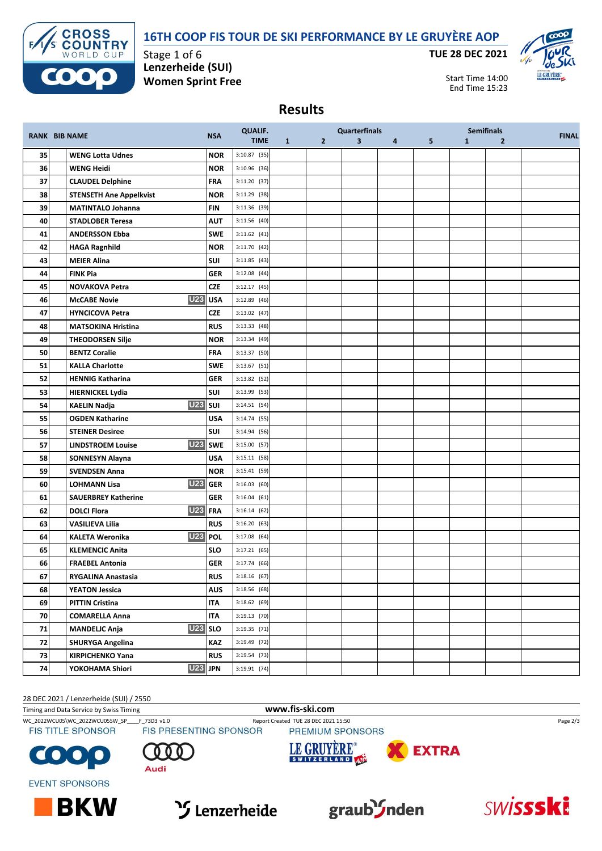### **16TH COOP FIS TOUR DE SKI PERFORMANCE BY LE GRUYÈRE AOP**



Stage 1 of 6 **Lenzerheide (SUI) Women Sprint Free** **TUE 28 DEC 2021**



Start Time 14:00 End Time 15:23

### **Results**

|    |                                       |                     | <b>QUALIF.</b> |              |                | <b>Quarterfinals</b>    |   |   |              | <b>Semifinals</b> |              |
|----|---------------------------------------|---------------------|----------------|--------------|----------------|-------------------------|---|---|--------------|-------------------|--------------|
|    | <b>RANK BIB NAME</b>                  | <b>NSA</b>          | <b>TIME</b>    | $\mathbf{1}$ | $\overline{2}$ | $\overline{\mathbf{3}}$ | 4 | 5 | $\mathbf{1}$ | $\overline{2}$    | <b>FINAL</b> |
| 35 | <b>WENG Lotta Udnes</b>               | <b>NOR</b>          | $3:10.87$ (35) |              |                |                         |   |   |              |                   |              |
| 36 | <b>WENG Heidi</b>                     | <b>NOR</b>          | $3:10.96$ (36) |              |                |                         |   |   |              |                   |              |
| 37 | <b>CLAUDEL Delphine</b>               | <b>FRA</b>          | 3:11.20 (37)   |              |                |                         |   |   |              |                   |              |
| 38 | <b>STENSETH Ane Appelkvist</b>        | <b>NOR</b>          | 3:11.29 (38)   |              |                |                         |   |   |              |                   |              |
| 39 | <b>MATINTALO Johanna</b>              | <b>FIN</b>          | 3:11.36 (39)   |              |                |                         |   |   |              |                   |              |
| 40 | <b>STADLOBER Teresa</b>               | <b>AUT</b>          | 3:11.56 (40)   |              |                |                         |   |   |              |                   |              |
| 41 | <b>ANDERSSON Ebba</b>                 | <b>SWE</b>          | $3:11.62$ (41) |              |                |                         |   |   |              |                   |              |
| 42 | <b>HAGA Ragnhild</b>                  | <b>NOR</b>          | $3:11.70$ (42) |              |                |                         |   |   |              |                   |              |
| 43 | <b>MEIER Alina</b>                    | <b>SUI</b>          | 3:11.85(43)    |              |                |                         |   |   |              |                   |              |
| 44 | <b>FINK Pia</b>                       | <b>GER</b>          | $3:12.08$ (44) |              |                |                         |   |   |              |                   |              |
| 45 | <b>NOVAKOVA Petra</b>                 | <b>CZE</b>          | $3:12.17$ (45) |              |                |                         |   |   |              |                   |              |
| 46 | <b>McCABE Novie</b>                   | U <sub>23</sub> USA | $3:12.89$ (46) |              |                |                         |   |   |              |                   |              |
| 47 | <b>HYNCICOVA Petra</b>                | <b>CZE</b>          | 3:13.02 (47)   |              |                |                         |   |   |              |                   |              |
| 48 | <b>MATSOKINA Hristina</b>             | <b>RUS</b>          | $3:13.33$ (48) |              |                |                         |   |   |              |                   |              |
| 49 | <b>THEODORSEN Silje</b>               | <b>NOR</b>          | 3:13.34(49)    |              |                |                         |   |   |              |                   |              |
| 50 | <b>BENTZ Coralie</b>                  | <b>FRA</b>          | 3:13.37 (50)   |              |                |                         |   |   |              |                   |              |
| 51 | <b>KALLA Charlotte</b>                | <b>SWE</b>          | $3:13.67$ (51) |              |                |                         |   |   |              |                   |              |
| 52 | <b>HENNIG Katharina</b>               | <b>GER</b>          | 3:13.82 (52)   |              |                |                         |   |   |              |                   |              |
| 53 | <b>HIERNICKEL Lydia</b>               | SUI                 | 3:13.99 (53)   |              |                |                         |   |   |              |                   |              |
| 54 | <b>U23</b> SUI<br><b>KAELIN Nadja</b> |                     | 3:14.51(54)    |              |                |                         |   |   |              |                   |              |
| 55 | <b>OGDEN Katharine</b>                | USA                 | 3:14.74 (55)   |              |                |                         |   |   |              |                   |              |
| 56 | <b>STEINER Desiree</b>                | SUI                 | 3:14.94 (56)   |              |                |                         |   |   |              |                   |              |
| 57 | <b>LINDSTROEM Louise</b>              | U <sub>23</sub> SWE | 3:15.00 (57)   |              |                |                         |   |   |              |                   |              |
| 58 | <b>SONNESYN Alayna</b>                | <b>USA</b>          | $3:15.11$ (58) |              |                |                         |   |   |              |                   |              |
| 59 | <b>SVENDSEN Anna</b>                  | <b>NOR</b>          | 3:15.41 (59)   |              |                |                         |   |   |              |                   |              |
| 60 | <b>LOHMANN Lisa</b>                   | <b>U23</b> GER      | 3:16.03(60)    |              |                |                         |   |   |              |                   |              |
| 61 | <b>SAUERBREY Katherine</b>            | <b>GER</b>          | 3:16.04(61)    |              |                |                         |   |   |              |                   |              |
| 62 | <b>DOLCI Flora</b>                    | U23 FRA             | 3:16.14(62)    |              |                |                         |   |   |              |                   |              |
| 63 | <b>VASILIEVA Lilia</b>                | <b>RUS</b>          | 3:16.20(63)    |              |                |                         |   |   |              |                   |              |
| 64 | <b>KALETA Weronika</b>                | <b>U23 POL</b>      | 3:17.08 (64)   |              |                |                         |   |   |              |                   |              |
| 65 | <b>KLEMENCIC Anita</b>                | <b>SLO</b>          | 3:17.21(65)    |              |                |                         |   |   |              |                   |              |
| 66 | <b>FRAEBEL Antonia</b>                | <b>GER</b>          | 3:17.74 (66)   |              |                |                         |   |   |              |                   |              |
| 67 | <b>RYGALINA Anastasia</b>             | <b>RUS</b>          | $3:18.16$ (67) |              |                |                         |   |   |              |                   |              |
| 68 | <b>YEATON Jessica</b>                 | <b>AUS</b>          | 3:18.56(68)    |              |                |                         |   |   |              |                   |              |
| 69 | <b>PITTIN Cristina</b>                | <b>ITA</b>          | 3:18.62(69)    |              |                |                         |   |   |              |                   |              |
| 70 | <b>COMARELLA Anna</b>                 | <b>ITA</b>          | $3:19.13$ (70) |              |                |                         |   |   |              |                   |              |
| 71 | <b>MANDELIC Anja</b>                  | $U23$ SLO           | 3:19.35 (71)   |              |                |                         |   |   |              |                   |              |
| 72 | <b>SHURYGA Angelina</b>               | KAZ                 | 3:19.49 (72)   |              |                |                         |   |   |              |                   |              |
| 73 | <b>KIRPICHENKO Yana</b>               | <b>RUS</b>          | 3:19.54 (73)   |              |                |                         |   |   |              |                   |              |
| 74 | <b>U23 JPN</b><br>YOKOHAMA Shiori     |                     | 3:19.91 (74)   |              |                |                         |   |   |              |                   |              |

28 DEC 2021 / Lenzerheide (SUI) / 2550

Timing and Data Service by Swiss Timing **www.fis-ski.com**

WC\_2022WCU05\WC\_2022WCU05SW\_SP\_\_\_F\_73D3 v1.0 Report Created TUE 28 DEC 2021 15:50 Page 2/3<br>
FIS TITLE SPONSOR FIS PRESENTING SPONSOR PREMIUM SPONSORS

**BKW** 





**EVENT SPONSORS** 









SWissski